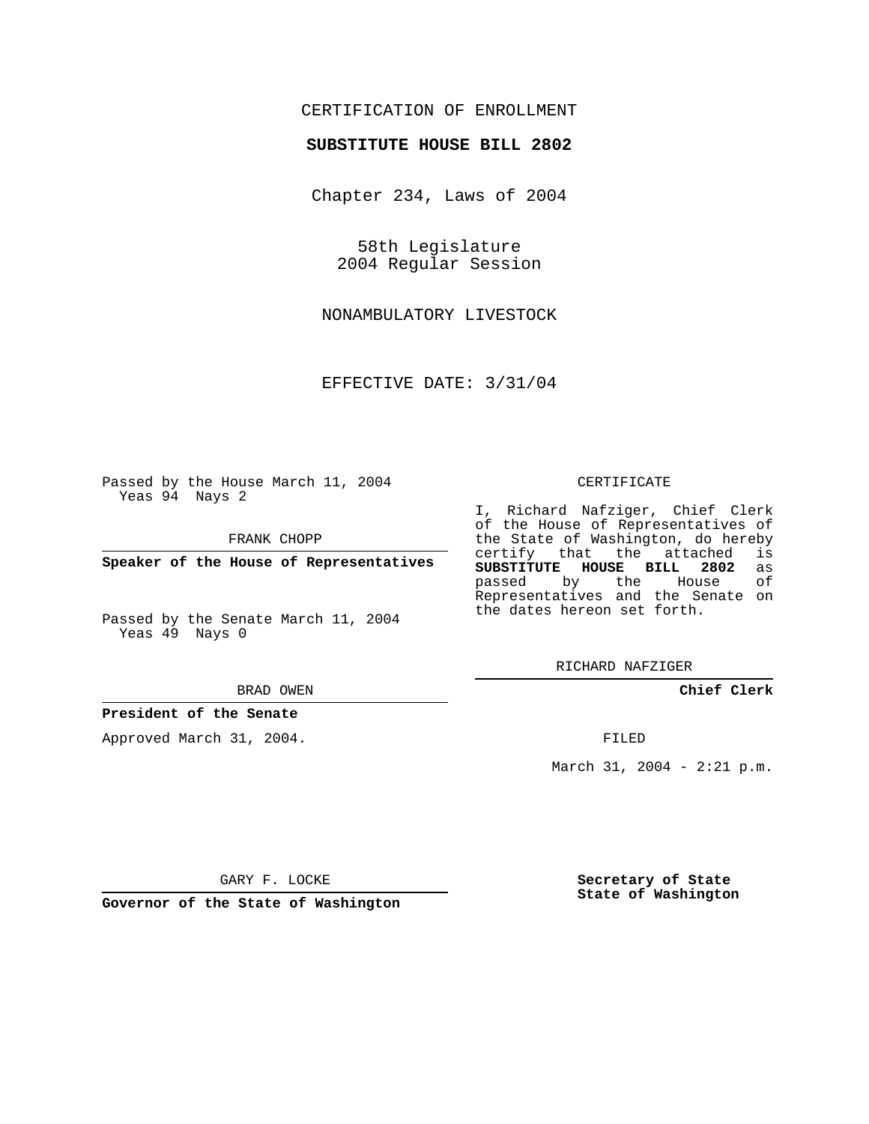# CERTIFICATION OF ENROLLMENT

## **SUBSTITUTE HOUSE BILL 2802**

Chapter 234, Laws of 2004

58th Legislature 2004 Regular Session

NONAMBULATORY LIVESTOCK

EFFECTIVE DATE: 3/31/04

Passed by the House March 11, 2004 Yeas 94 Nays 2

FRANK CHOPP

**Speaker of the House of Representatives**

Passed by the Senate March 11, 2004 Yeas 49 Nays 0

#### BRAD OWEN

## **President of the Senate**

Approved March 31, 2004.

#### CERTIFICATE

I, Richard Nafziger, Chief Clerk of the House of Representatives of the State of Washington, do hereby<br>certify that the attached is certify that the attached **SUBSTITUTE HOUSE BILL 2802** as passed by the Representatives and the Senate on the dates hereon set forth.

RICHARD NAFZIGER

**Chief Clerk**

FILED

March 31, 2004 - 2:21 p.m.

GARY F. LOCKE

**Governor of the State of Washington**

**Secretary of State State of Washington**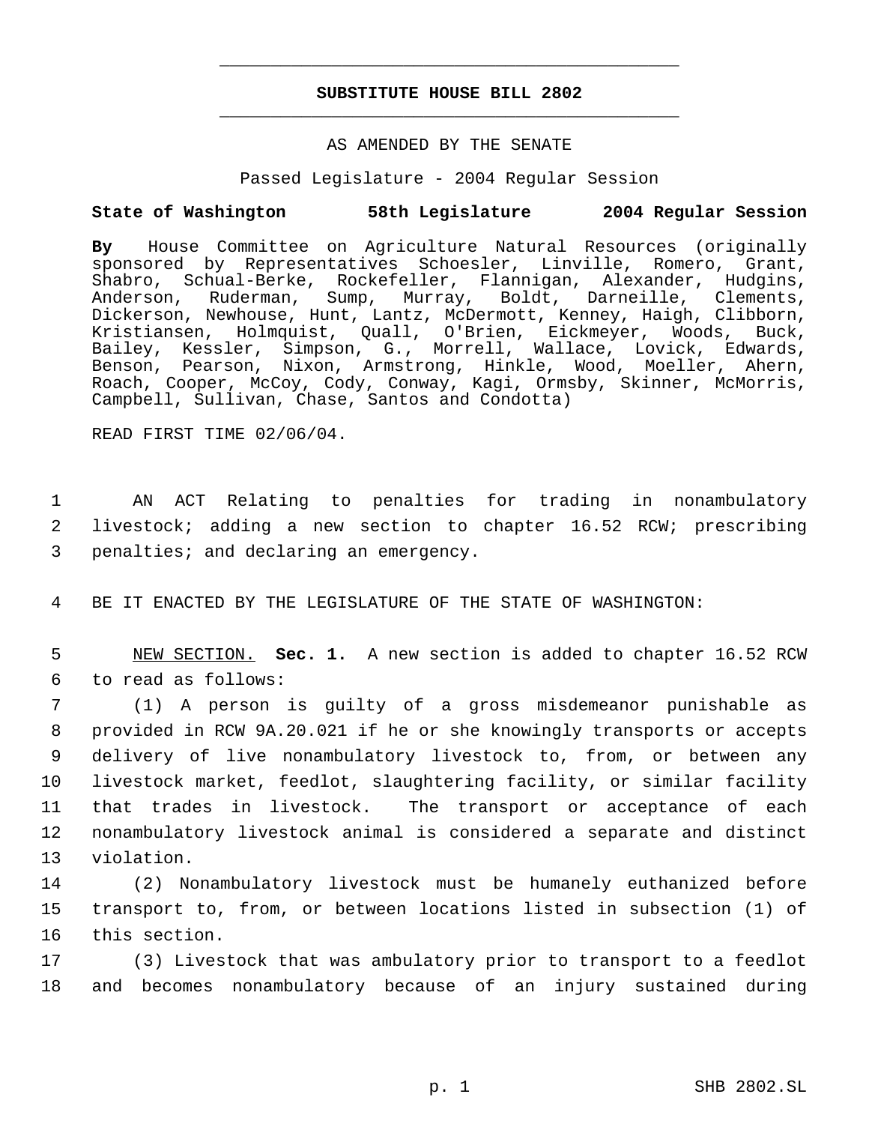# **SUBSTITUTE HOUSE BILL 2802** \_\_\_\_\_\_\_\_\_\_\_\_\_\_\_\_\_\_\_\_\_\_\_\_\_\_\_\_\_\_\_\_\_\_\_\_\_\_\_\_\_\_\_\_\_

\_\_\_\_\_\_\_\_\_\_\_\_\_\_\_\_\_\_\_\_\_\_\_\_\_\_\_\_\_\_\_\_\_\_\_\_\_\_\_\_\_\_\_\_\_

## AS AMENDED BY THE SENATE

Passed Legislature - 2004 Regular Session

## **State of Washington 58th Legislature 2004 Regular Session**

**By** House Committee on Agriculture Natural Resources (originally sponsored by Representatives Schoesler, Linville, Romero, Grant, Shabro, Schual-Berke, Rockefeller, Flannigan, Alexander, Hudgins, Anderson, Ruderman, Sump, Murray, Boldt, Darneille, Clements, Dickerson, Newhouse, Hunt, Lantz, McDermott, Kenney, Haigh, Clibborn, Kristiansen, Holmquist, Quall, O'Brien, Eickmeyer, Woods, Buck, Bailey, Kessler, Simpson, G., Morrell, Wallace, Lovick, Edwards, Benson, Pearson, Nixon, Armstrong, Hinkle, Wood, Moeller, Ahern, Roach, Cooper, McCoy, Cody, Conway, Kagi, Ormsby, Skinner, McMorris, Campbell, Sullivan, Chase, Santos and Condotta)

READ FIRST TIME 02/06/04.

 1 AN ACT Relating to penalties for trading in nonambulatory 2 livestock; adding a new section to chapter 16.52 RCW; prescribing 3 penalties; and declaring an emergency.

4 BE IT ENACTED BY THE LEGISLATURE OF THE STATE OF WASHINGTON:

 5 NEW SECTION. **Sec. 1.** A new section is added to chapter 16.52 RCW 6 to read as follows:

 (1) A person is guilty of a gross misdemeanor punishable as provided in RCW 9A.20.021 if he or she knowingly transports or accepts delivery of live nonambulatory livestock to, from, or between any livestock market, feedlot, slaughtering facility, or similar facility that trades in livestock. The transport or acceptance of each nonambulatory livestock animal is considered a separate and distinct violation.

14 (2) Nonambulatory livestock must be humanely euthanized before 15 transport to, from, or between locations listed in subsection (1) of 16 this section.

17 (3) Livestock that was ambulatory prior to transport to a feedlot 18 and becomes nonambulatory because of an injury sustained during